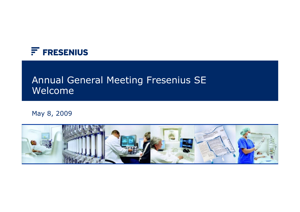

# Annual General Meeting Fresenius SE Welcome

#### May 8, 2009

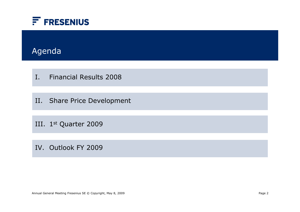

# Agenda

I. Financial Results 2008

II. Share Price Development

III. 1st Quarter 2009

IV. Outlook FY 2009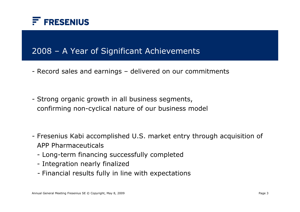

## 2008 – A Year of Significant Achievements

- Record sales and earnings delivered on our commitments
- Strong organic growth in all business segments, confirming non-cyclical nature of our business model
- Fresenius Kabi accomplished U.S. market entry through acquisition of APP Pharmaceuticals
	- Long-term financing successfully completed
	- Integration nearly finalized
	- Financial results fully in line with expectations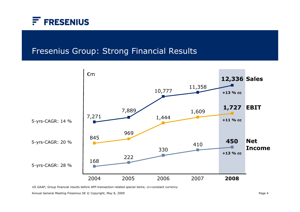

## Fresenius Group: Strong Financial Results



US GAAP; Group financial results before APP-transaction-related special items; cc=constant currency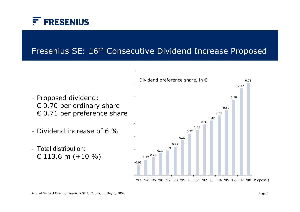

# Fresenius SE: 16th Consecutive Dividend Increase Proposed

- Proposed dividend:  $\epsilon$  0.70 per ordinary share  $\epsilon$  0.71 per preference share
- Dividend increase of 6 %
- Total distribution: € 113.6 m  $(+10\%)$

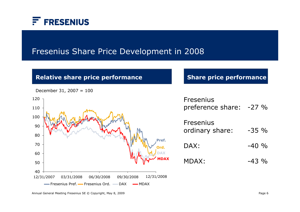

### Fresenius Share Price Development in 2008

#### **Relative share price performance Share price performance**



| <b>Fresenius</b>  |         |  |
|-------------------|---------|--|
| preference share: | $-27\%$ |  |

| Fresenius<br>ordinary share: | $-35\%$ |
|------------------------------|---------|
| DAX:                         | $-40\%$ |

 $MDAX: -43\%$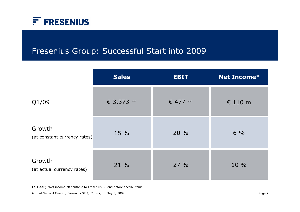

# Fresenius Group: Successful Start into 2009

|                                        | <b>Sales</b> | <b>EBIT</b> | <b>Net Income*</b> |
|----------------------------------------|--------------|-------------|--------------------|
| Q1/09                                  | € 3,373 m    | € 477 m     | $\epsilon$ 110 m   |
| Growth<br>(at constant currency rates) | 15 %         | 20 %        | $6\%$              |
| Growth<br>(at actual currency rates)   | 21 %         | 27%         | 10 %               |

US GAAP; \*Net income attributable to Fresenius SE and before special items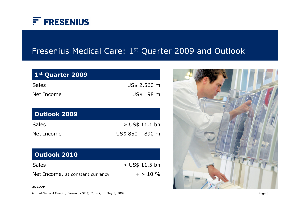

# Fresenius Medical Care: 1st Quarter 2009 and Outlook

| 1st Quarter 2009                 |                  |
|----------------------------------|------------------|
| <b>Sales</b>                     | US\$ 2,560 m     |
| Net Income                       | US\$ 198 m       |
|                                  |                  |
| <b>Outlook 2009</b>              |                  |
| <b>Sales</b>                     | $>$ US\$ 11.1 bn |
| Net Income                       | US\$ 850 - 890 m |
|                                  |                  |
| <b>Outlook 2010</b>              |                  |
| <b>Sales</b>                     | > US\$ 11.5 bn   |
| Net Income, at constant currency | $+$ > 10 %       |



US GAAP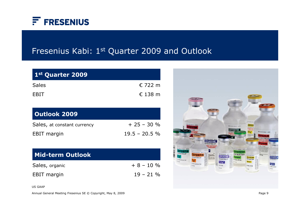

# Fresenius Kabi: 1st Quarter 2009 and Outlook

| 1st Quarter 2009            |                  |
|-----------------------------|------------------|
| <b>Sales</b>                | € 722 m          |
| EBIT                        | $\epsilon$ 138 m |
|                             |                  |
| <b>Outlook 2009</b>         |                  |
| Sales, at constant currency | $+25 - 30 %$     |
| <b>EBIT</b> margin          | $19.5 - 20.5 \%$ |

| Mid-term Outlook   |              |
|--------------------|--------------|
| Sales, organic     | $+8 - 10\%$  |
| <b>EBIT</b> margin | $19 - 21 \%$ |



US GAAP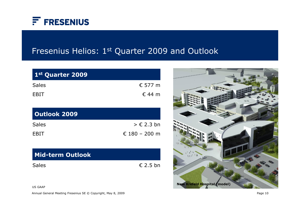

# Fresenius Helios: 1st Quarter 2009 and Outlook

| 1st Quarter 2009        |                       |
|-------------------------|-----------------------|
| <b>Sales</b>            | € 577 m               |
| EBIT                    | $\epsilon$ 44 m       |
| <b>Outlook 2009</b>     |                       |
| <b>Sales</b>            | $\ge \epsilon$ 2.3 bn |
| EBIT                    | € 180 – 200 m         |
| <b>Mid-term Outlook</b> |                       |

Sales

€ 2.5 bn



US GAAP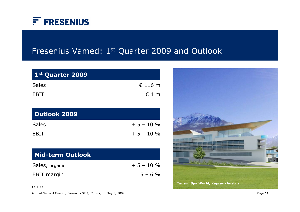

# Fresenius Vamed: 1st Quarter 2009 and Outlook

| $\epsilon$ 116 m |
|------------------|
| $\epsilon$ 4 m   |
|                  |

| Outlook 2009 |             |
|--------------|-------------|
| <b>Sales</b> | $+5 - 10\%$ |
| <b>FBIT</b>  | $+5 - 10\%$ |

| l Mid-term Outlook |              |
|--------------------|--------------|
| Sales, organic     | $+5 - 10 \%$ |
| <b>EBIT</b> margin | $5 - 6\%$    |



US GAAP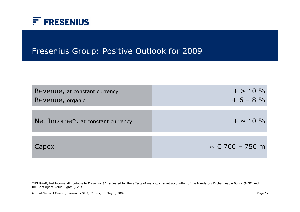

## Fresenius Group: Positive Outlook for 2009

| Revenue, at constant currency<br>Revenue, organic | $+$ > 10 %<br>$+6 - 8%$     |
|---------------------------------------------------|-----------------------------|
| Net Income $*$ , at constant currency             | $+ \sim 10 \%$              |
| Capex                                             | $\sim \epsilon$ 700 – 750 m |

\*US GAAP; Net income attributable to Fresenius SE; adjusted for the effects of mark-to-market accounting of the Mandatory Exchangeable Bonds (MEB) and the Contingent Value Rights (CVR)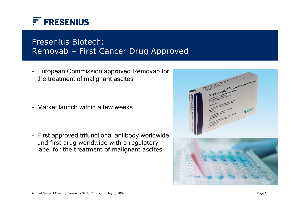

# Fresenius Biotech: Removab – First Cancer Drug Approved

- European Commission approved Removab for the treatment of malignant ascites

- Market launch within a few weeks

- First approved trifunctional antibody worldwide und first drug worldwide with a regulatory label for the treatment of malignant ascites

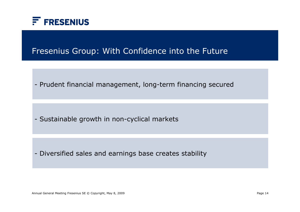

## Fresenius Group: With Confidence into the Future

- Prudent financial management, long-term financing secured

- Sustainable growth in non-cyclical markets

- Diversified sales and earnings base creates stability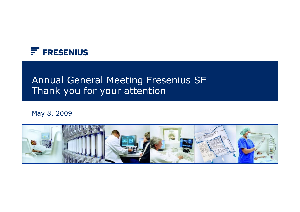

# Annual General Meeting Fresenius SE Thank you for your attention

#### May 8, 2009